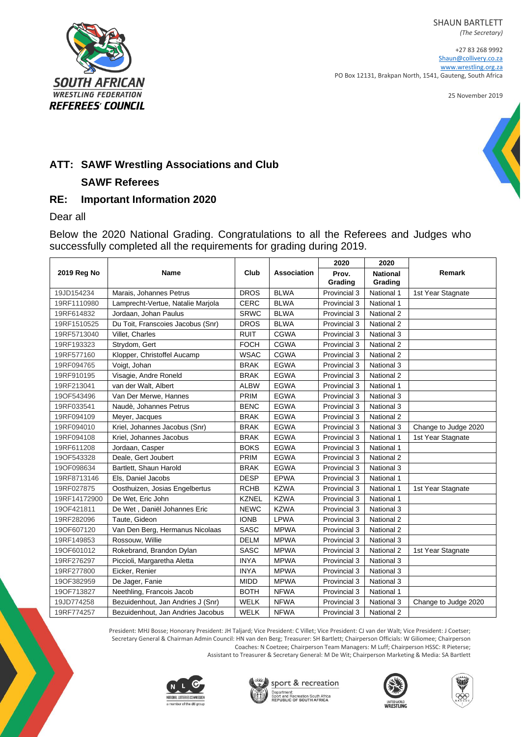SHAUN BARTLETT



+27 83 268 9992 [Shaun@collivery.co.za](mailto:Shaun@collivery.co.za) [www.wrestling.org.za](http://www.wrestling.org.za/) PO Box 12131, Brakpan North, 1541, Gauteng, South Africa

25 November 2019





## **ATT: SAWF Wrestling Associations and Club**

## **SAWF Referees**

## **RE: Important Information 2020**

Dear all

Below the 2020 National Grading. Congratulations to all the Referees and Judges who successfully completed all the requirements for grading during 2019.

|              |                                   |              |                    | 2020             | 2020                       |                      |
|--------------|-----------------------------------|--------------|--------------------|------------------|----------------------------|----------------------|
| 2019 Reg No  | Name                              | Club         | <b>Association</b> | Prov.<br>Grading | <b>National</b><br>Grading | Remark               |
| 19JD154234   | Marais, Johannes Petrus           | <b>DROS</b>  | <b>BLWA</b>        | Provincial 3     | National 1                 | 1st Year Stagnate    |
| 19RF1110980  | Lamprecht-Vertue, Natalie Marjola | <b>CERC</b>  | <b>BLWA</b>        | Provincial 3     | National 1                 |                      |
| 19RF614832   | Jordaan, Johan Paulus             | <b>SRWC</b>  | <b>BLWA</b>        | Provincial 3     | National 2                 |                      |
| 19RF1510525  | Du Toit, Franscoies Jacobus (Snr) | <b>DROS</b>  | <b>BLWA</b>        | Provincial 3     | National 2                 |                      |
| 19RF5713040  | Villet, Charles                   | <b>RUIT</b>  | <b>CGWA</b>        | Provincial 3     | National 3                 |                      |
| 19RF193323   | Strydom, Gert                     | <b>FOCH</b>  | <b>CGWA</b>        | Provincial 3     | <b>National 2</b>          |                      |
| 19RF577160   | Klopper, Christoffel Aucamp       | <b>WSAC</b>  | <b>CGWA</b>        | Provincial 3     | National 2                 |                      |
| 19RF094765   | Voigt, Johan                      | <b>BRAK</b>  | <b>EGWA</b>        | Provincial 3     | National 3                 |                      |
| 19RF910195   | Visagie, Andre Roneld             | <b>BRAK</b>  | <b>EGWA</b>        | Provincial 3     | National 2                 |                      |
| 19RF213041   | van der Walt, Albert              | <b>ALBW</b>  | <b>EGWA</b>        | Provincial 3     | National 1                 |                      |
| 19OF543496   | Van Der Merwe, Hannes             | PRIM         | <b>EGWA</b>        | Provincial 3     | National 3                 |                      |
| 19RF033541   | Naudè, Johannes Petrus            | <b>BENC</b>  | <b>EGWA</b>        | Provincial 3     | National 3                 |                      |
| 19RF094109   | Meyer, Jacques                    | <b>BRAK</b>  | <b>EGWA</b>        | Provincial 3     | National 2                 |                      |
| 19RF094010   | Kriel, Johannes Jacobus (Snr)     | <b>BRAK</b>  | <b>EGWA</b>        | Provincial 3     | National 3                 | Change to Judge 2020 |
| 19RF094108   | Kriel, Johannes Jacobus           | <b>BRAK</b>  | <b>EGWA</b>        | Provincial 3     | National 1                 | 1st Year Stagnate    |
| 19RF611208   | Jordaan, Casper                   | <b>BOKS</b>  | <b>EGWA</b>        | Provincial 3     | National 1                 |                      |
| 19OF543328   | Deale, Gert Joubert               | PRIM         | <b>EGWA</b>        | Provincial 3     | National 2                 |                      |
| 19OF098634   | Bartlett, Shaun Harold            | <b>BRAK</b>  | <b>EGWA</b>        | Provincial 3     | National 3                 |                      |
| 19RF8713146  | Els, Daniel Jacobs                | <b>DESP</b>  | <b>EPWA</b>        | Provincial 3     | National 1                 |                      |
| 19RF027875   | Oosthuizen, Josias Engelbertus    | <b>RCHB</b>  | <b>KZWA</b>        | Provincial 3     | National 1                 | 1st Year Stagnate    |
| 19RF14172900 | De Wet, Eric John                 | <b>KZNEL</b> | <b>KZWA</b>        | Provincial 3     | National 1                 |                      |
| 190F421811   | De Wet, Daniël Johannes Eric      | <b>NEWC</b>  | <b>KZWA</b>        | Provincial 3     | National 3                 |                      |
| 19RF282096   | Taute, Gideon                     | <b>IONB</b>  | LPWA               | Provincial 3     | National 2                 |                      |
| 19OF607120   | Van Den Berg, Hermanus Nicolaas   | <b>SASC</b>  | <b>MPWA</b>        | Provincial 3     | National 2                 |                      |
| 19RF149853   | Rossouw, Willie                   | <b>DELM</b>  | <b>MPWA</b>        | Provincial 3     | National 3                 |                      |
| 19OF601012   | Rokebrand, Brandon Dylan          | <b>SASC</b>  | <b>MPWA</b>        | Provincial 3     | National 2                 | 1st Year Stagnate    |
| 19RF276297   | Piccioli, Margaretha Aletta       | <b>INYA</b>  | <b>MPWA</b>        | Provincial 3     | National 3                 |                      |
| 19RF277800   | Eicker, Renier                    | <b>INYA</b>  | <b>MPWA</b>        | Provincial 3     | National 3                 |                      |
| 19OF382959   | De Jager, Fanie                   | <b>MIDD</b>  | <b>MPWA</b>        | Provincial 3     | National 3                 |                      |
| 19OF713827   | Neethling, Francois Jacob         | <b>BOTH</b>  | <b>NFWA</b>        | Provincial 3     | National 1                 |                      |
| 19JD774258   | Bezuidenhout, Jan Andries J (Snr) | <b>WELK</b>  | <b>NFWA</b>        | Provincial 3     | <b>National 3</b>          | Change to Judge 2020 |
| 19RF774257   | Bezuidenhout, Jan Andries Jacobus | <b>WELK</b>  | <b>NFWA</b>        | Provincial 3     | National 2                 |                      |

President: MHJ Bosse; Honorary President: JH Taljard; Vice President: C Villet; Vice President: CJ van der Walt; Vice President: J Coetser; Secretary General & Chairman Admin Council: HN van den Berg; Treasurer: SH Bartlett; Chairperson Officials: W Giliomee; Chairperson Coaches: N Coetzee; Chairperson Team Managers: M Luff; Chairperson HSSC: R Pieterse; Assistant to Treasurer & Secretary General: M De Wit; Chairperson Marketing & Media: SA Bartlett